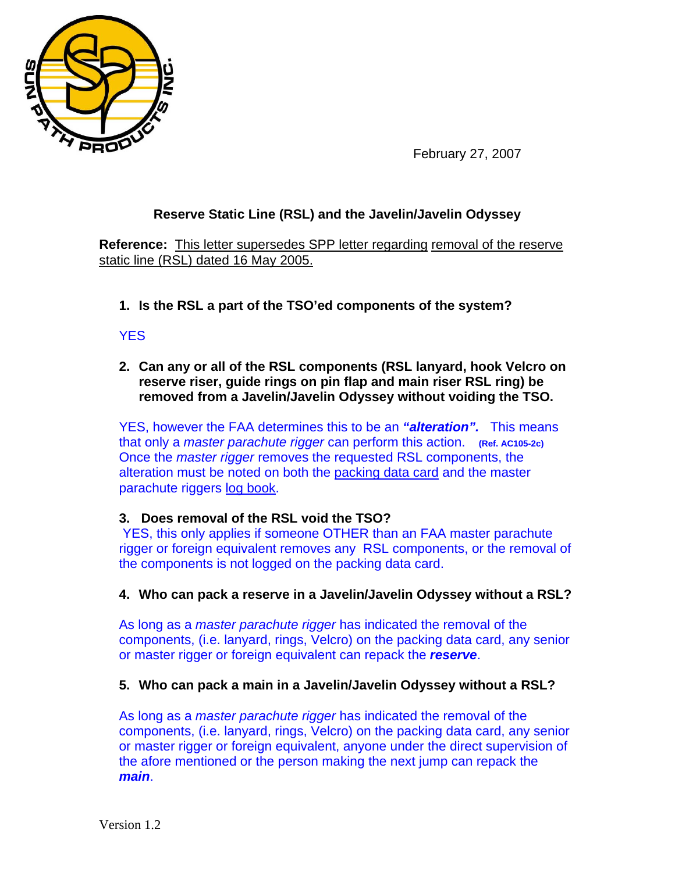

February 27, 2007

# **Reserve Static Line (RSL) and the Javelin/Javelin Odyssey**

**Reference:** This letter supersedes SPP letter regarding removal of the reserve static line (RSL) dated 16 May 2005.

**1. Is the RSL a part of the TSO'ed components of the system?** 

## YES

**2. Can any or all of the RSL components (RSL lanyard, hook Velcro on reserve riser, guide rings on pin flap and main riser RSL ring) be removed from a Javelin/Javelin Odyssey without voiding the TSO.** 

YES, however the FAA determines this to be an *"alteration".* This means that only a *master parachute rigger* can perform this action. **(Ref. AC105-2c)** Once the *master rigger* removes the requested RSL components, the alteration must be noted on both the packing data card and the master parachute riggers log book.

### **3. Does removal of the RSL void the TSO?**

 YES, this only applies if someone OTHER than an FAA master parachute rigger or foreign equivalent removes any RSL components, or the removal of the components is not logged on the packing data card.

### **4. Who can pack a reserve in a Javelin/Javelin Odyssey without a RSL?**

As long as a *master parachute rigger* has indicated the removal of the components, (i.e. lanyard, rings, Velcro) on the packing data card, any senior or master rigger or foreign equivalent can repack the *reserve*.

### **5. Who can pack a main in a Javelin/Javelin Odyssey without a RSL?**

As long as a *master parachute rigger* has indicated the removal of the components, (i.e. lanyard, rings, Velcro) on the packing data card, any senior or master rigger or foreign equivalent, anyone under the direct supervision of the afore mentioned or the person making the next jump can repack the *main*.